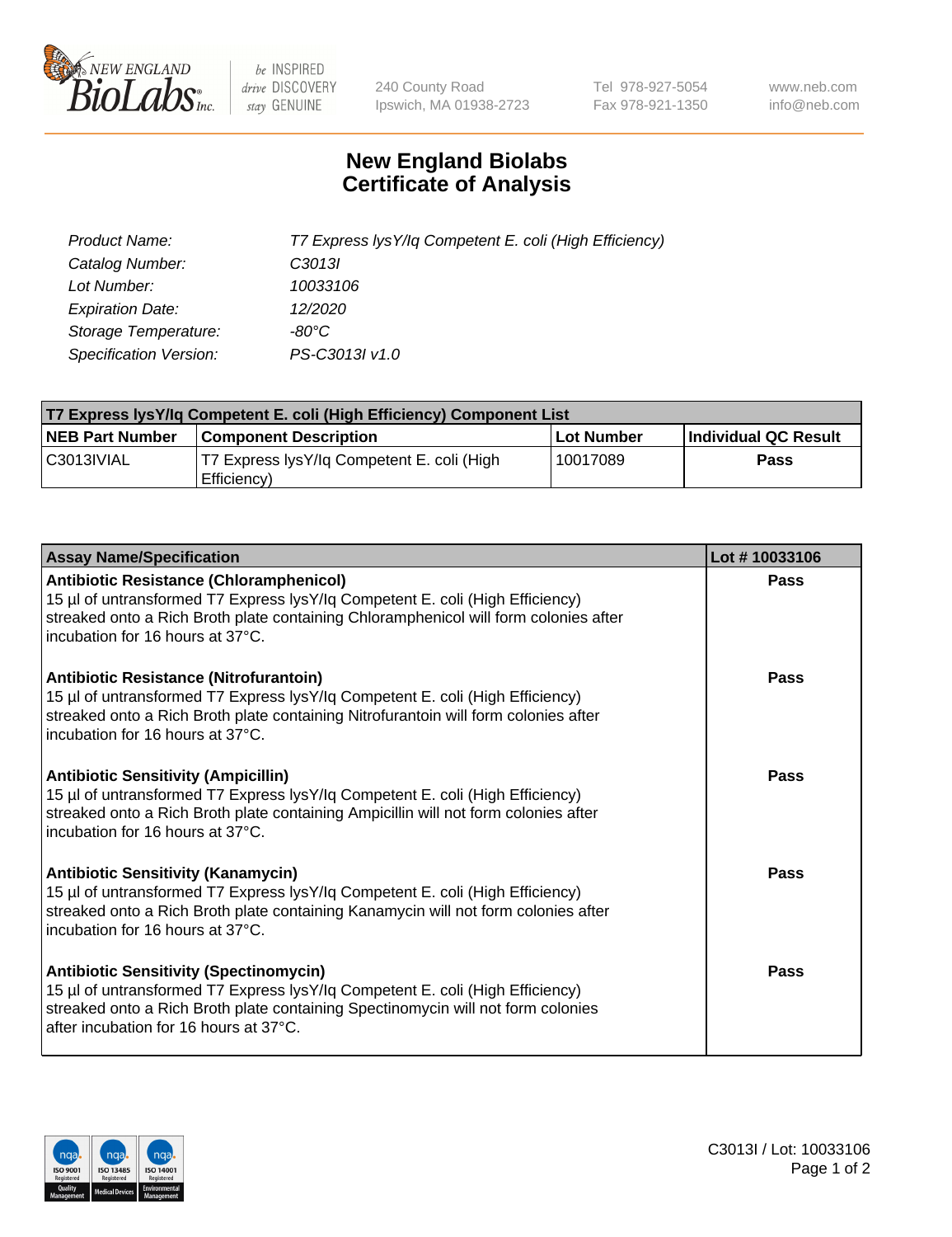

 $be$  INSPIRED drive DISCOVERY stay GENUINE

240 County Road Ipswich, MA 01938-2723 Tel 978-927-5054 Fax 978-921-1350 www.neb.com info@neb.com

## **New England Biolabs Certificate of Analysis**

| Product Name:           | T7 Express lysY/lq Competent E. coli (High Efficiency) |
|-------------------------|--------------------------------------------------------|
| Catalog Number:         | C <sub>3013</sub>                                      |
| Lot Number:             | 10033106                                               |
| <b>Expiration Date:</b> | 12/2020                                                |
| Storage Temperature:    | -80°C                                                  |
| Specification Version:  | PS-C3013I v1.0                                         |

| T7 Express lysY/lq Competent E. coli (High Efficiency) Component List |                                                           |            |                      |  |
|-----------------------------------------------------------------------|-----------------------------------------------------------|------------|----------------------|--|
| <b>NEB Part Number</b>                                                | <b>Component Description</b>                              | Lot Number | Individual QC Result |  |
| C3013IVIAL                                                            | T7 Express lysY/lq Competent E. coli (High<br>Efficiency) | 10017089   | <b>Pass</b>          |  |

| <b>Assay Name/Specification</b>                                                                                                                                                                                                                              | Lot #10033106 |
|--------------------------------------------------------------------------------------------------------------------------------------------------------------------------------------------------------------------------------------------------------------|---------------|
| <b>Antibiotic Resistance (Chloramphenicol)</b><br>15 µl of untransformed T7 Express lysY/lq Competent E. coli (High Efficiency)<br>streaked onto a Rich Broth plate containing Chloramphenicol will form colonies after<br>incubation for 16 hours at 37°C.  | Pass          |
| <b>Antibiotic Resistance (Nitrofurantoin)</b><br>15 µl of untransformed T7 Express lysY/lq Competent E. coli (High Efficiency)<br>streaked onto a Rich Broth plate containing Nitrofurantoin will form colonies after<br>incubation for 16 hours at 37°C.    | Pass          |
| <b>Antibiotic Sensitivity (Ampicillin)</b><br>15 µl of untransformed T7 Express lysY/lq Competent E. coli (High Efficiency)<br>streaked onto a Rich Broth plate containing Ampicillin will not form colonies after<br>incubation for 16 hours at 37°C.       | Pass          |
| <b>Antibiotic Sensitivity (Kanamycin)</b><br>15 µl of untransformed T7 Express lysY/lq Competent E. coli (High Efficiency)<br>streaked onto a Rich Broth plate containing Kanamycin will not form colonies after<br>incubation for 16 hours at 37°C.         | Pass          |
| <b>Antibiotic Sensitivity (Spectinomycin)</b><br>15 µl of untransformed T7 Express lysY/lq Competent E. coli (High Efficiency)<br>streaked onto a Rich Broth plate containing Spectinomycin will not form colonies<br>after incubation for 16 hours at 37°C. | Pass          |